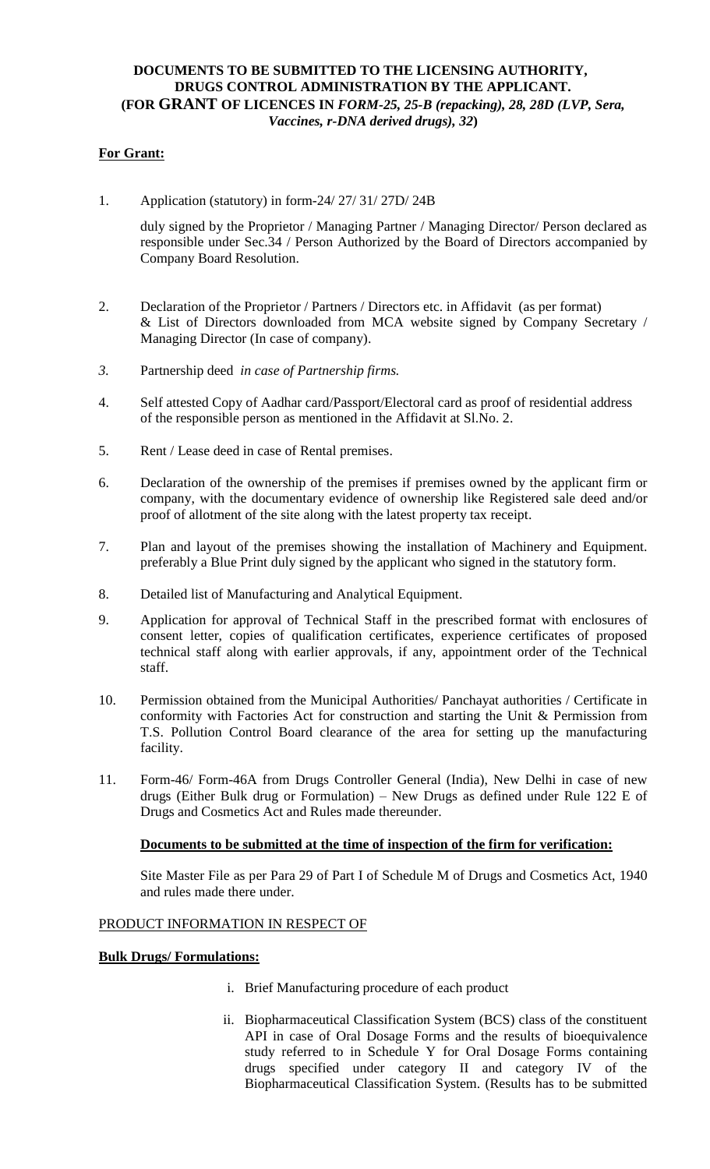# **DOCUMENTS TO BE SUBMITTED TO THE LICENSING AUTHORITY, DRUGS CONTROL ADMINISTRATION BY THE APPLICANT. (FOR GRANT OF LICENCES IN** *FORM-25, 25-B (repacking), 28, 28D (LVP, Sera, Vaccines, r-DNA derived drugs), 32***)**

# **For Grant:**

1. Application (statutory) in form-24/ 27/ 31/ 27D/ 24B

duly signed by the Proprietor / Managing Partner / Managing Director/ Person declared as responsible under Sec.34 / Person Authorized by the Board of Directors accompanied by Company Board Resolution.

- 2. Declaration of the Proprietor / Partners / Directors etc. in Affidavit (as per format) & List of Directors downloaded from MCA website signed by Company Secretary / Managing Director (In case of company).
- *3.* Partnership deed *in case of Partnership firms.*
- 4. Self attested Copy of Aadhar card/Passport/Electoral card as proof of residential address of the responsible person as mentioned in the Affidavit at Sl.No. 2.
- 5. Rent / Lease deed in case of Rental premises.
- 6. Declaration of the ownership of the premises if premises owned by the applicant firm or company, with the documentary evidence of ownership like Registered sale deed and/or proof of allotment of the site along with the latest property tax receipt.
- 7. Plan and layout of the premises showing the installation of Machinery and Equipment. preferably a Blue Print duly signed by the applicant who signed in the statutory form.
- 8. Detailed list of Manufacturing and Analytical Equipment.
- 9. Application for approval of Technical Staff in the prescribed format with enclosures of consent letter, copies of qualification certificates, experience certificates of proposed technical staff along with earlier approvals, if any, appointment order of the Technical staff.
- 10. Permission obtained from the Municipal Authorities/ Panchayat authorities / Certificate in conformity with Factories Act for construction and starting the Unit & Permission from T.S. Pollution Control Board clearance of the area for setting up the manufacturing facility.
- 11. Form-46/ Form-46A from Drugs Controller General (India), New Delhi in case of new drugs (Either Bulk drug or Formulation) – New Drugs as defined under Rule 122 E of Drugs and Cosmetics Act and Rules made thereunder.

## **Documents to be submitted at the time of inspection of the firm for verification:**

Site Master File as per Para 29 of Part I of Schedule M of Drugs and Cosmetics Act, 1940 and rules made there under.

## PRODUCT INFORMATION IN RESPECT OF

## **Bulk Drugs/ Formulations:**

- i. Brief Manufacturing procedure of each product
- ii. Biopharmaceutical Classification System (BCS) class of the constituent API in case of Oral Dosage Forms and the results of bioequivalence study referred to in Schedule Y for Oral Dosage Forms containing drugs specified under category II and category IV of the Biopharmaceutical Classification System. (Results has to be submitted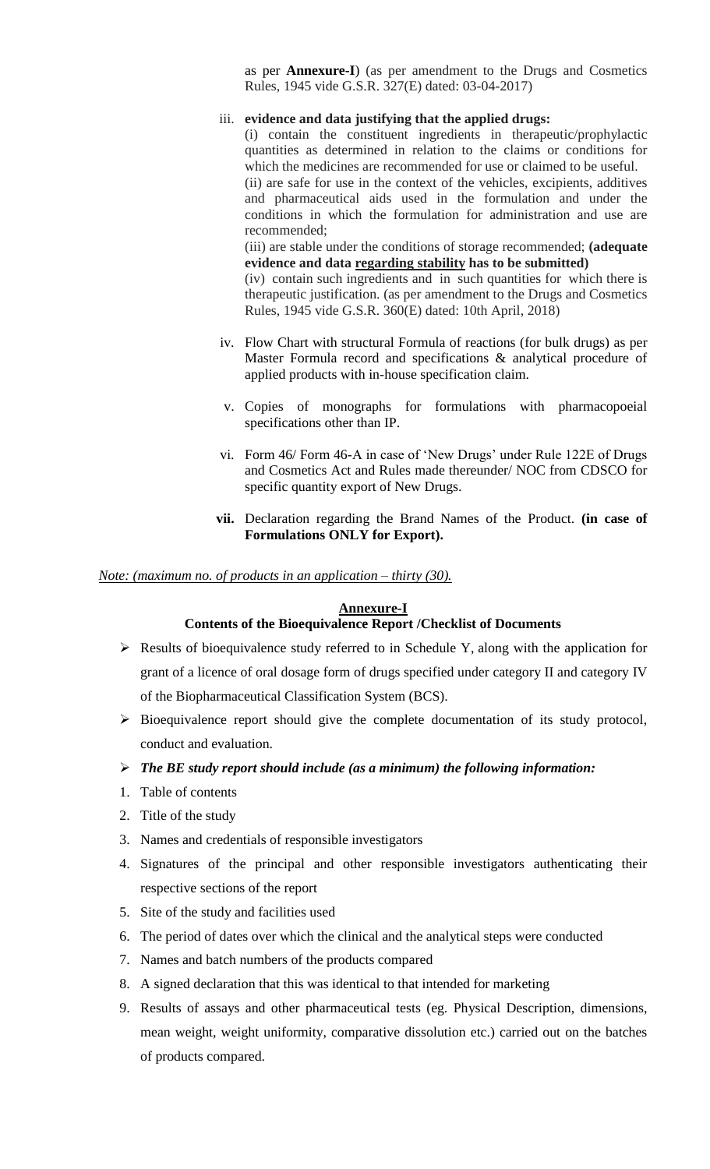as per **Annexure-I**) (as per amendment to the Drugs and Cosmetics Rules, 1945 vide G.S.R. 327(E) dated: 03-04-2017)

#### iii. **evidence and data justifying that the applied drugs:**

(i) contain the constituent ingredients in therapeutic/prophylactic quantities as determined in relation to the claims or conditions for which the medicines are recommended for use or claimed to be useful. (ii) are safe for use in the context of the vehicles, excipients, additives and pharmaceutical aids used in the formulation and under the conditions in which the formulation for administration and use are recommended;

(iii) are stable under the conditions of storage recommended; **(adequate evidence and data regarding stability has to be submitted)**

(iv) contain such ingredients and in such quantities for which there is therapeutic justification. (as per amendment to the Drugs and Cosmetics Rules, 1945 vide G.S.R. 360(E) dated: 10th April, 2018)

- iv. Flow Chart with structural Formula of reactions (for bulk drugs) as per Master Formula record and specifications & analytical procedure of applied products with in-house specification claim.
- v. Copies of monographs for formulations with pharmacopoeial specifications other than IP.
- vi. Form 46/ Form 46-A in case of 'New Drugs' under Rule 122E of Drugs and Cosmetics Act and Rules made thereunder/ NOC from CDSCO for specific quantity export of New Drugs.
- **vii.** Declaration regarding the Brand Names of the Product. **(in case of Formulations ONLY for Export).**

*Note: (maximum no. of products in an application – thirty (30).*

#### **Annexure-I**

#### **Contents of the Bioequivalence Report /Checklist of Documents**

- $\triangleright$  Results of bioequivalence study referred to in Schedule Y, along with the application for grant of a licence of oral dosage form of drugs specified under category II and category IV of the Biopharmaceutical Classification System (BCS).
- $\triangleright$  Bioequivalence report should give the complete documentation of its study protocol, conduct and evaluation.
- *The BE study report should include (as a minimum) the following information:*
- 1. Table of contents
- 2. Title of the study
- 3. Names and credentials of responsible investigators
- 4. Signatures of the principal and other responsible investigators authenticating their respective sections of the report
- 5. Site of the study and facilities used
- 6. The period of dates over which the clinical and the analytical steps were conducted
- 7. Names and batch numbers of the products compared
- 8. A signed declaration that this was identical to that intended for marketing
- 9. Results of assays and other pharmaceutical tests (eg. Physical Description, dimensions, mean weight, weight uniformity, comparative dissolution etc.) carried out on the batches of products compared.